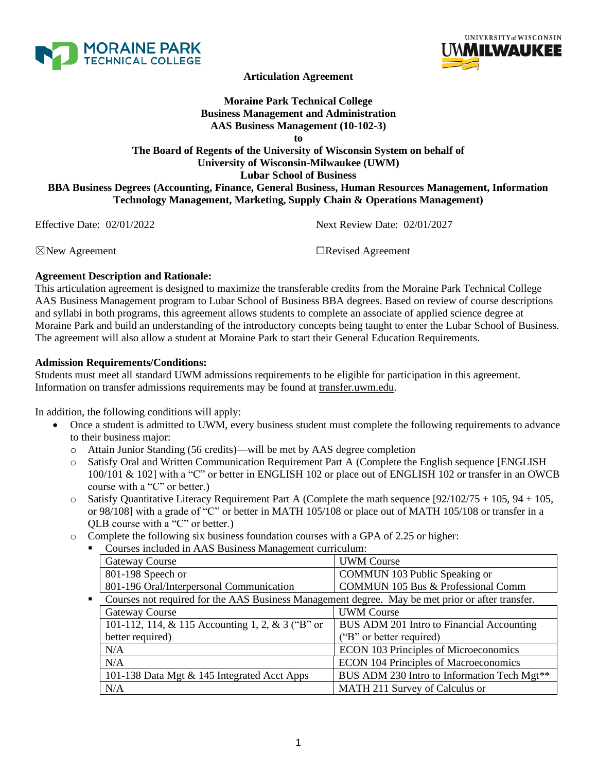



**Articulation Agreement**

# **Moraine Park Technical College Business Management and Administration AAS Business Management (10-102-3)**

**to**

# **The Board of Regents of the University of Wisconsin System on behalf of University of Wisconsin-Milwaukee (UWM) Lubar School of Business BBA Business Degrees (Accounting, Finance, General Business, Human Resources Management, Information Technology Management, Marketing, Supply Chain & Operations Management)**

Effective Date: 02/01/2022 Next Review Date: 02/01/2027

☒New Agreement ☐Revised Agreement

### **Agreement Description and Rationale:**

This articulation agreement is designed to maximize the transferable credits from the Moraine Park Technical College AAS Business Management program to Lubar School of Business BBA degrees. Based on review of course descriptions and syllabi in both programs, this agreement allows students to complete an associate of applied science degree at Moraine Park and build an understanding of the introductory concepts being taught to enter the Lubar School of Business. The agreement will also allow a student at Moraine Park to start their General Education Requirements.

### **Admission Requirements/Conditions:**

Students must meet all standard UWM admissions requirements to be eligible for participation in this agreement. Information on transfer admissions requirements may be found at transfer.uwm.edu.

In addition, the following conditions will apply:

- Once a student is admitted to UWM, every business student must complete the following requirements to advance to their business major:
	- o Attain Junior Standing (56 credits)—will be met by AAS degree completion
	- o Satisfy Oral and Written Communication Requirement Part A (Complete the English sequence [ENGLISH 100/101 & 102] with a "C" or better in ENGLISH 102 or place out of ENGLISH 102 or transfer in an OWCB course with a "C" or better.)
	- $\circ$  Satisfy Quantitative Literacy Requirement Part A (Complete the math sequence [92/102/75 + 105, 94 + 105, or 98/108] with a grade of "C" or better in MATH 105/108 or place out of MATH 105/108 or transfer in a QLB course with a "C" or better.)
	- o Complete the following six business foundation courses with a GPA of 2.25 or higher:
		- Courses included in AAS Business Management curriculum:

|                | Gateway Course                                                                                   | <b>UWM Course</b>                             |
|----------------|--------------------------------------------------------------------------------------------------|-----------------------------------------------|
|                | 801-198 Speech or                                                                                | COMMUN 103 Public Speaking or                 |
|                | 801-196 Oral/Interpersonal Communication                                                         | <b>COMMUN 105 Bus &amp; Professional Comm</b> |
| $\blacksquare$ | Courses not required for the AAS Business Management degree. May be met prior or after transfer. |                                               |
|                | Gateway Course                                                                                   | <b>UWM</b> Course                             |
|                | 101-112, 114, & 115 Accounting 1, 2, & 3 ("B" or                                                 | BUS ADM 201 Intro to Financial Accounting     |
|                | better required)                                                                                 | ("B" or better required)                      |
|                | N/A                                                                                              | <b>ECON 103 Principles of Microeconomics</b>  |
|                | N/A                                                                                              | <b>ECON 104 Principles of Macroeconomics</b>  |
|                | 101-138 Data Mgt & 145 Integrated Acct Apps                                                      | BUS ADM 230 Intro to Information Tech Mgt**   |
|                | N/A                                                                                              | MATH 211 Survey of Calculus or                |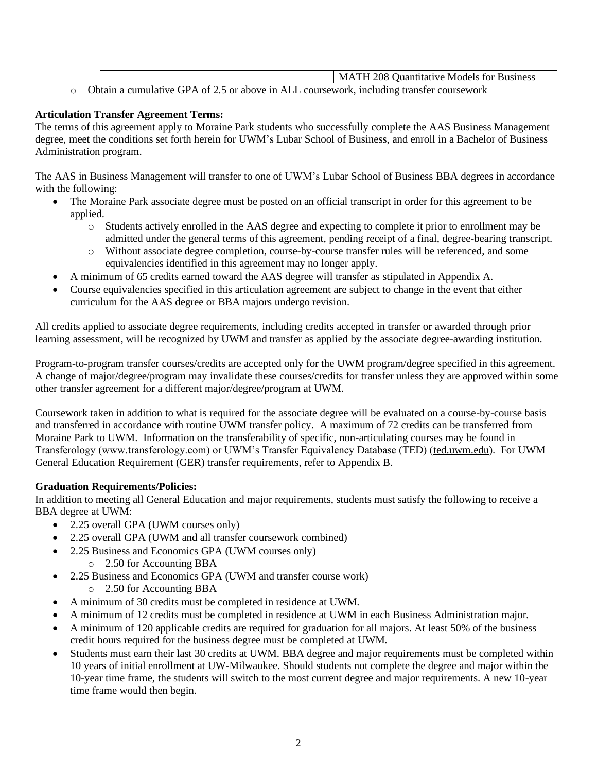|  |                                                                                            | MATH 208 Quantitative Models for Business |
|--|--------------------------------------------------------------------------------------------|-------------------------------------------|
|  | • Obtain a cumulative GPA of 2.5 or above in ALL coursework, including transfer coursework |                                           |

### **Articulation Transfer Agreement Terms:**

The terms of this agreement apply to Moraine Park students who successfully complete the AAS Business Management degree, meet the conditions set forth herein for UWM's Lubar School of Business, and enroll in a Bachelor of Business Administration program.

The AAS in Business Management will transfer to one of UWM's Lubar School of Business BBA degrees in accordance with the following:

- The Moraine Park associate degree must be posted on an official transcript in order for this agreement to be applied.
	- o Students actively enrolled in the AAS degree and expecting to complete it prior to enrollment may be admitted under the general terms of this agreement, pending receipt of a final, degree-bearing transcript.
	- o Without associate degree completion, course-by-course transfer rules will be referenced, and some equivalencies identified in this agreement may no longer apply.
- A minimum of 65 credits earned toward the AAS degree will transfer as stipulated in Appendix A.
- Course equivalencies specified in this articulation agreement are subject to change in the event that either curriculum for the AAS degree or BBA majors undergo revision.

All credits applied to associate degree requirements, including credits accepted in transfer or awarded through prior learning assessment, will be recognized by UWM and transfer as applied by the associate degree-awarding institution.

Program-to-program transfer courses/credits are accepted only for the UWM program/degree specified in this agreement. A change of major/degree/program may invalidate these courses/credits for transfer unless they are approved within some other transfer agreement for a different major/degree/program at UWM.

Coursework taken in addition to what is required for the associate degree will be evaluated on a course-by-course basis and transferred in accordance with routine UWM transfer policy. A maximum of 72 credits can be transferred from Moraine Park to UWM. Information on the transferability of specific, non-articulating courses may be found in Transferology (www.transferology.com) or UWM's Transfer Equivalency Database (TED) (ted.uwm.edu). For UWM General Education Requirement (GER) transfer requirements, refer to Appendix B.

## **Graduation Requirements/Policies:**

In addition to meeting all General Education and major requirements, students must satisfy the following to receive a BBA degree at UWM:

- 2.25 overall GPA (UWM courses only)
- 2.25 overall GPA (UWM and all transfer coursework combined)
- 2.25 Business and Economics GPA (UWM courses only)
	- o 2.50 for Accounting BBA
- 2.25 Business and Economics GPA (UWM and transfer course work)
	- o 2.50 for Accounting BBA
- A minimum of 30 credits must be completed in residence at UWM.
- A minimum of 12 credits must be completed in residence at UWM in each Business Administration major.
- A minimum of 120 applicable credits are required for graduation for all majors. At least 50% of the business credit hours required for the business degree must be completed at UWM.
- Students must earn their last 30 credits at UWM. BBA degree and major requirements must be completed within 10 years of initial enrollment at UW-Milwaukee. Should students not complete the degree and major within the 10-year time frame, the students will switch to the most current degree and major requirements. A new 10-year time frame would then begin.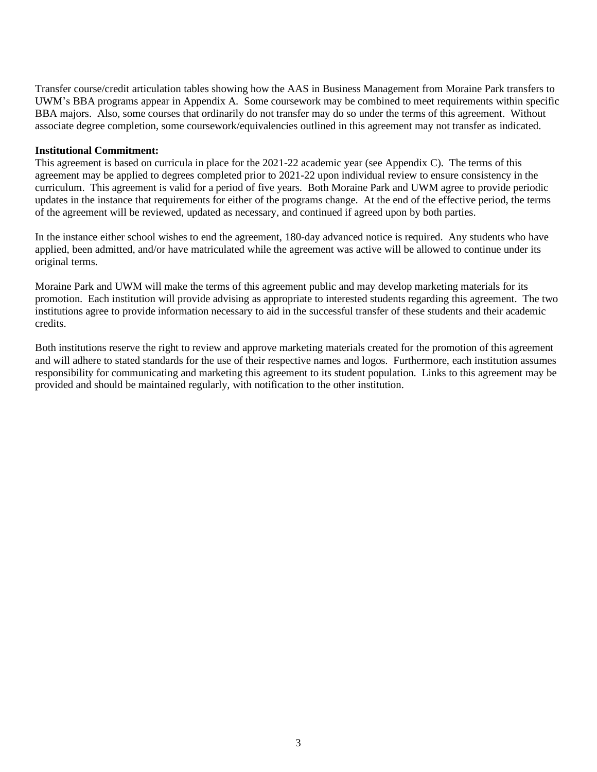Transfer course/credit articulation tables showing how the AAS in Business Management from Moraine Park transfers to UWM's BBA programs appear in Appendix A. Some coursework may be combined to meet requirements within specific BBA majors. Also, some courses that ordinarily do not transfer may do so under the terms of this agreement. Without associate degree completion, some coursework/equivalencies outlined in this agreement may not transfer as indicated.

#### **Institutional Commitment:**

This agreement is based on curricula in place for the 2021-22 academic year (see Appendix C). The terms of this agreement may be applied to degrees completed prior to 2021-22 upon individual review to ensure consistency in the curriculum. This agreement is valid for a period of five years. Both Moraine Park and UWM agree to provide periodic updates in the instance that requirements for either of the programs change. At the end of the effective period, the terms of the agreement will be reviewed, updated as necessary, and continued if agreed upon by both parties.

In the instance either school wishes to end the agreement, 180-day advanced notice is required. Any students who have applied, been admitted, and/or have matriculated while the agreement was active will be allowed to continue under its original terms.

Moraine Park and UWM will make the terms of this agreement public and may develop marketing materials for its promotion. Each institution will provide advising as appropriate to interested students regarding this agreement. The two institutions agree to provide information necessary to aid in the successful transfer of these students and their academic credits.

Both institutions reserve the right to review and approve marketing materials created for the promotion of this agreement and will adhere to stated standards for the use of their respective names and logos. Furthermore, each institution assumes responsibility for communicating and marketing this agreement to its student population. Links to this agreement may be provided and should be maintained regularly, with notification to the other institution.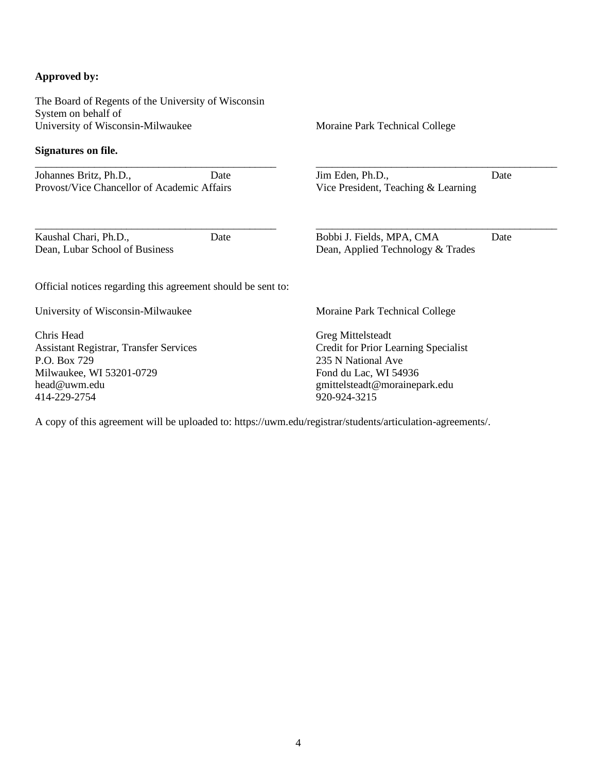### **Approved by:**

The Board of Regents of the University of Wisconsin System on behalf of University of Wisconsin-Milwaukee

#### **Signatures on file.**

\_\_\_\_\_\_\_\_\_\_\_\_\_\_\_\_\_\_\_\_\_\_\_\_\_\_\_\_\_\_\_\_\_\_\_\_\_\_\_\_\_\_\_\_\_ Johannes Britz, Ph.D., Date Provost/Vice Chancellor of Academic Affairs

Kaushal Chari, Ph.D., Date Dean, Lubar School of Business

Moraine Park Technical College

Jim Eden, Ph.D., Date Vice President, Teaching & Learning

\_\_\_\_\_\_\_\_\_\_\_\_\_\_\_\_\_\_\_\_\_\_\_\_\_\_\_\_\_\_\_\_\_\_\_\_\_\_\_\_\_\_\_\_\_

\_\_\_\_\_\_\_\_\_\_\_\_\_\_\_\_\_\_\_\_\_\_\_\_\_\_\_\_\_\_\_\_\_\_\_\_\_\_\_\_\_\_\_\_\_ Bobbi J. Fields, MPA, CMA Date

Dean, Applied Technology & Trades

Official notices regarding this agreement should be sent to:

\_\_\_\_\_\_\_\_\_\_\_\_\_\_\_\_\_\_\_\_\_\_\_\_\_\_\_\_\_\_\_\_\_\_\_\_\_\_\_\_\_\_\_\_\_

University of Wisconsin-Milwaukee

Chris Head Assistant Registrar, Transfer Services P.O. Box 729 Milwaukee, WI 53201-0729 head@uwm.edu 414-229-2754

Moraine Park Technical College

Greg Mittelsteadt Credit for Prior Learning Specialist 235 N National Ave Fond du Lac, WI 54936 gmittelsteadt@morainepark.edu 920-924-3215

A copy of this agreement will be uploaded to: https://uwm.edu/registrar/students/articulation-agreements/.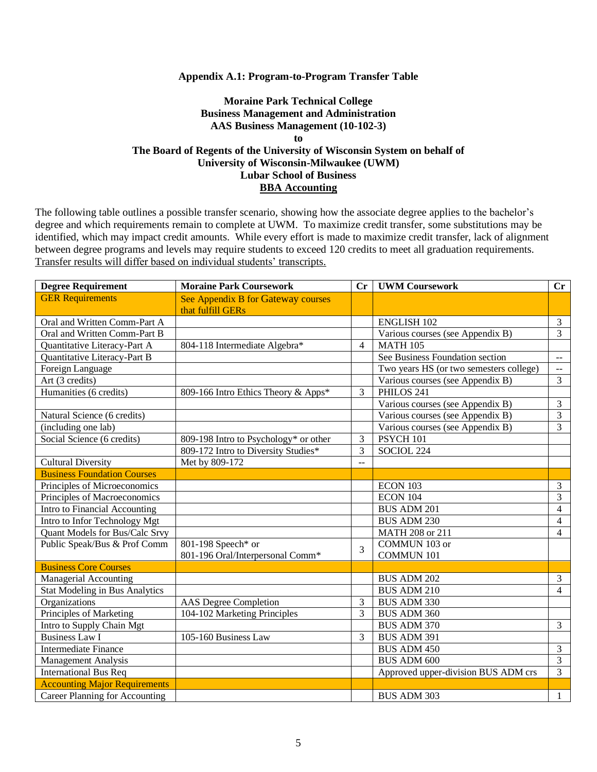#### **Appendix A.1: Program-to-Program Transfer Table**

### **Moraine Park Technical College Business Management and Administration AAS Business Management (10-102-3) to The Board of Regents of the University of Wisconsin System on behalf of University of Wisconsin-Milwaukee (UWM) Lubar School of Business BBA Accounting**

| <b>Degree Requirement</b>            | <b>Moraine Park Coursework</b>        |                          | Cr   UWM Coursework                     | $\mathbf{C}\mathbf{r}$                        |
|--------------------------------------|---------------------------------------|--------------------------|-----------------------------------------|-----------------------------------------------|
| <b>GER Requirements</b>              | See Appendix B for Gateway courses    |                          |                                         |                                               |
|                                      | that fulfill GERs                     |                          |                                         |                                               |
| Oral and Written Comm-Part A         |                                       |                          | <b>ENGLISH 102</b>                      | $\mathfrak{Z}$                                |
| Oral and Written Comm-Part B         |                                       |                          | Various courses (see Appendix B)        | $\overline{3}$                                |
| Quantitative Literacy-Part A         | 804-118 Intermediate Algebra*         | $\overline{\mathcal{L}}$ | <b>MATH 105</b>                         |                                               |
| Quantitative Literacy-Part B         |                                       |                          | See Business Foundation section         | $\mathord{\hspace{1pt}\text{--}\hspace{1pt}}$ |
| Foreign Language                     |                                       |                          | Two years HS (or two semesters college) | $\sim$ $\sim$                                 |
| Art (3 credits)                      |                                       |                          | Various courses (see Appendix B)        | 3                                             |
| Humanities (6 credits)               | 809-166 Intro Ethics Theory & Apps*   | 3                        | PHILOS 241                              |                                               |
|                                      |                                       |                          | Various courses (see Appendix B)        | $\mathfrak{Z}$                                |
| Natural Science (6 credits)          |                                       |                          | Various courses (see Appendix B)        | $\overline{3}$                                |
| (including one lab)                  |                                       |                          | Various courses (see Appendix B)        | 3                                             |
| Social Science (6 credits)           | 809-198 Intro to Psychology* or other | 3                        | PSYCH 101                               |                                               |
|                                      | 809-172 Intro to Diversity Studies*   | 3                        | SOCIOL 224                              |                                               |
| <b>Cultural Diversity</b>            | Met by 809-172                        | $-$                      |                                         |                                               |
| <b>Business Foundation Courses</b>   |                                       |                          |                                         |                                               |
| Principles of Microeconomics         |                                       |                          | ECON 103                                | $\mathfrak{Z}$                                |
| Principles of Macroeconomics         |                                       |                          | ECON 104                                | $\overline{3}$                                |
| Intro to Financial Accounting        |                                       |                          | <b>BUS ADM 201</b>                      | $\overline{\mathcal{L}}$                      |
| Intro to Infor Technology Mgt        |                                       |                          | <b>BUS ADM 230</b>                      | $\overline{4}$                                |
| Quant Models for Bus/Calc Srvy       |                                       |                          | MATH 208 or 211                         | $\overline{4}$                                |
| Public Speak/Bus & Prof Comm         | 801-198 Speech* or                    | 3                        | COMMUN 103 or                           |                                               |
|                                      | 801-196 Oral/Interpersonal Comm*      |                          | <b>COMMUN 101</b>                       |                                               |
| <b>Business Core Courses</b>         |                                       |                          |                                         |                                               |
| <b>Managerial Accounting</b>         |                                       |                          | <b>BUS ADM 202</b>                      | $\overline{3}$                                |
| Stat Modeling in Bus Analytics       |                                       |                          | <b>BUS ADM 210</b>                      | 4                                             |
| Organizations                        | <b>AAS</b> Degree Completion          | 3                        | <b>BUS ADM 330</b>                      |                                               |
| Principles of Marketing              | 104-102 Marketing Principles          | 3                        | <b>BUS ADM 360</b>                      |                                               |
| Intro to Supply Chain Mgt            |                                       |                          | BUS ADM 370                             | $\overline{3}$                                |
| <b>Business Law I</b>                | 105-160 Business Law                  | 3                        | <b>BUS ADM 391</b>                      |                                               |
| <b>Intermediate Finance</b>          |                                       |                          | <b>BUS ADM 450</b>                      | $\mathfrak{Z}$                                |
| <b>Management Analysis</b>           |                                       |                          | <b>BUS ADM 600</b>                      | $\overline{3}$                                |
| <b>International Bus Req</b>         |                                       |                          | Approved upper-division BUS ADM crs     | $\overline{3}$                                |
| <b>Accounting Major Requirements</b> |                                       |                          |                                         |                                               |
| Career Planning for Accounting       |                                       |                          | <b>BUS ADM 303</b>                      | $\mathbf{1}$                                  |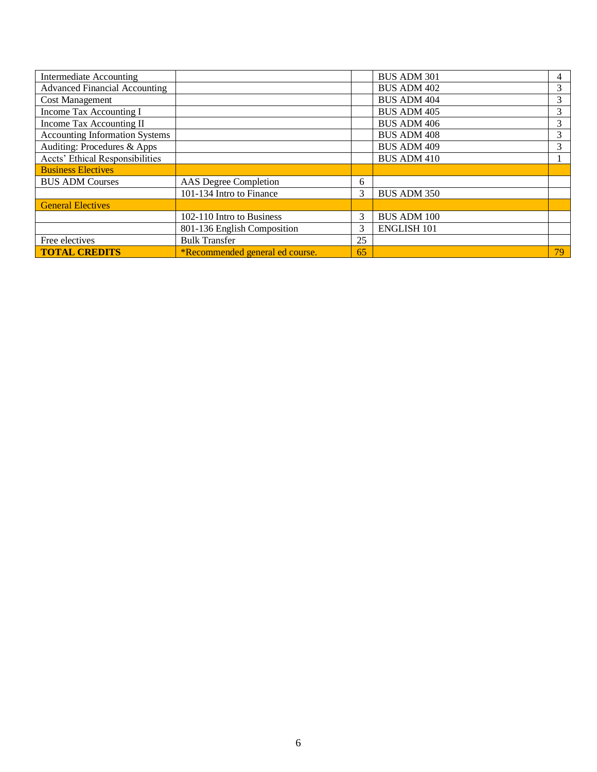| Intermediate Accounting               |                                 |    | <b>BUS ADM 301</b> | 4  |
|---------------------------------------|---------------------------------|----|--------------------|----|
| <b>Advanced Financial Accounting</b>  |                                 |    | <b>BUS ADM 402</b> | 3  |
| <b>Cost Management</b>                |                                 |    | <b>BUS ADM 404</b> | 3  |
| Income Tax Accounting I               |                                 |    | <b>BUS ADM 405</b> | 3  |
| Income Tax Accounting II              |                                 |    | <b>BUS ADM 406</b> | 3  |
| <b>Accounting Information Systems</b> |                                 |    | <b>BUS ADM 408</b> | 3  |
| Auditing: Procedures & Apps           |                                 |    | <b>BUS ADM 409</b> | 3  |
| Accts' Ethical Responsibilities       |                                 |    | <b>BUS ADM 410</b> |    |
| <b>Business Electives</b>             |                                 |    |                    |    |
| <b>BUS ADM Courses</b>                | AAS Degree Completion           | 6  |                    |    |
|                                       | 101-134 Intro to Finance        | 3  | <b>BUS ADM 350</b> |    |
| <b>General Electives</b>              |                                 |    |                    |    |
|                                       | 102-110 Intro to Business       | 3  | <b>BUS ADM 100</b> |    |
|                                       | 801-136 English Composition     | 3  | <b>ENGLISH 101</b> |    |
| Free electives                        | <b>Bulk Transfer</b>            | 25 |                    |    |
| <b>TOTAL CREDITS</b>                  | *Recommended general ed course. | 65 |                    | 79 |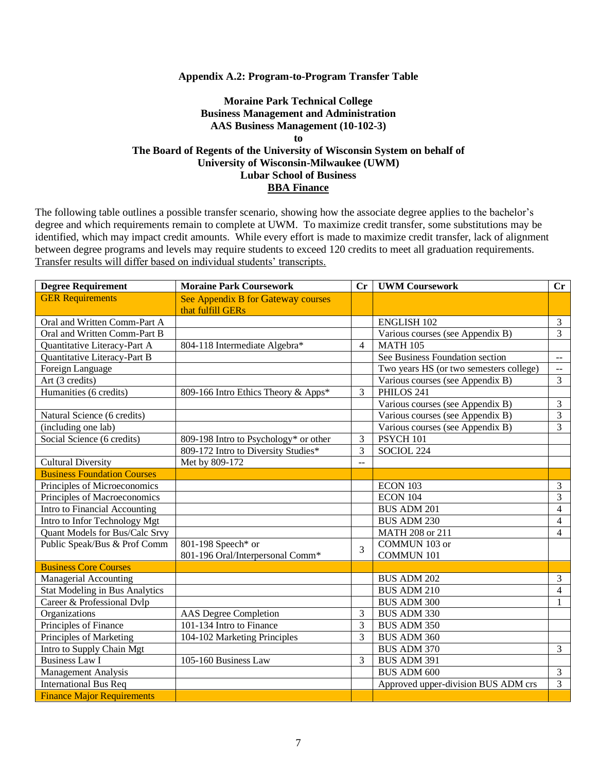#### **Appendix A.2: Program-to-Program Transfer Table**

### **Moraine Park Technical College Business Management and Administration AAS Business Management (10-102-3) to The Board of Regents of the University of Wisconsin System on behalf of University of Wisconsin-Milwaukee (UWM) Lubar School of Business BBA Finance**

| <b>Degree Requirement</b>             | <b>Moraine Park Coursework</b>        |                | Cr   UWM Coursework                     | $\mathbf{C}\mathbf{r}$                        |
|---------------------------------------|---------------------------------------|----------------|-----------------------------------------|-----------------------------------------------|
| <b>GER Requirements</b>               | See Appendix B for Gateway courses    |                |                                         |                                               |
|                                       | that fulfill GERs                     |                |                                         |                                               |
| Oral and Written Comm-Part A          |                                       |                | <b>ENGLISH 102</b>                      | $\mathfrak{Z}$                                |
| Oral and Written Comm-Part B          |                                       |                | Various courses (see Appendix B)        | $\overline{3}$                                |
| Quantitative Literacy-Part A          | 804-118 Intermediate Algebra*         | 4              | <b>MATH 105</b>                         |                                               |
| Quantitative Literacy-Part B          |                                       |                | See Business Foundation section         | $\overline{\phantom{a}}$                      |
| Foreign Language                      |                                       |                | Two years HS (or two semesters college) | $\mathord{\hspace{1pt}\text{--}\hspace{1pt}}$ |
| Art (3 credits)                       |                                       |                | Various courses (see Appendix B)        | $\overline{3}$                                |
| Humanities (6 credits)                | 809-166 Intro Ethics Theory & Apps*   | 3              | PHILOS 241                              |                                               |
|                                       |                                       |                | Various courses (see Appendix B)        | $\mathfrak{Z}$                                |
| Natural Science (6 credits)           |                                       |                | Various courses (see Appendix B)        | $\overline{3}$                                |
| (including one lab)                   |                                       |                | Various courses (see Appendix B)        | $\overline{3}$                                |
| Social Science (6 credits)            | 809-198 Intro to Psychology* or other | 3              | PSYCH 101                               |                                               |
|                                       | 809-172 Intro to Diversity Studies*   | 3              | SOCIOL 224                              |                                               |
| <b>Cultural Diversity</b>             | Met by 809-172                        | $\overline{a}$ |                                         |                                               |
| <b>Business Foundation Courses</b>    |                                       |                |                                         |                                               |
| Principles of Microeconomics          |                                       |                | ECON 103                                | $\mathfrak{Z}$                                |
| Principles of Macroeconomics          |                                       |                | <b>ECON 104</b>                         | 3                                             |
| Intro to Financial Accounting         |                                       |                | <b>BUS ADM 201</b>                      | 4                                             |
| Intro to Infor Technology Mgt         |                                       |                | <b>BUS ADM 230</b>                      | $\overline{4}$                                |
| Quant Models for Bus/Calc Srvy        |                                       |                | MATH 208 or 211                         | $\overline{4}$                                |
| Public Speak/Bus & Prof Comm          | 801-198 Speech* or                    | 3              | COMMUN 103 or                           |                                               |
|                                       | 801-196 Oral/Interpersonal Comm*      |                | <b>COMMUN 101</b>                       |                                               |
| <b>Business Core Courses</b>          |                                       |                |                                         |                                               |
| <b>Managerial Accounting</b>          |                                       |                | <b>BUS ADM 202</b>                      | $\mathfrak{Z}$                                |
| <b>Stat Modeling in Bus Analytics</b> |                                       |                | <b>BUS ADM 210</b>                      | $\overline{4}$                                |
| Career & Professional Dvlp            |                                       |                | <b>BUS ADM 300</b>                      | 1                                             |
| Organizations                         | <b>AAS</b> Degree Completion          | 3              | <b>BUS ADM 330</b>                      |                                               |
| Principles of Finance                 | 101-134 Intro to Finance              | 3              | <b>BUS ADM 350</b>                      |                                               |
| Principles of Marketing               | 104-102 Marketing Principles          | 3              | BUS ADM 360                             |                                               |
| Intro to Supply Chain Mgt             |                                       |                | <b>BUS ADM 370</b>                      | $\mathfrak{Z}$                                |
| <b>Business Law I</b>                 | 105-160 Business Law                  | 3              | BUS ADM 391                             |                                               |
| <b>Management Analysis</b>            |                                       |                | <b>BUS ADM 600</b>                      | $\mathfrak{Z}$                                |
| <b>International Bus Req</b>          |                                       |                | Approved upper-division BUS ADM crs     | 3                                             |
| <b>Finance Major Requirements</b>     |                                       |                |                                         |                                               |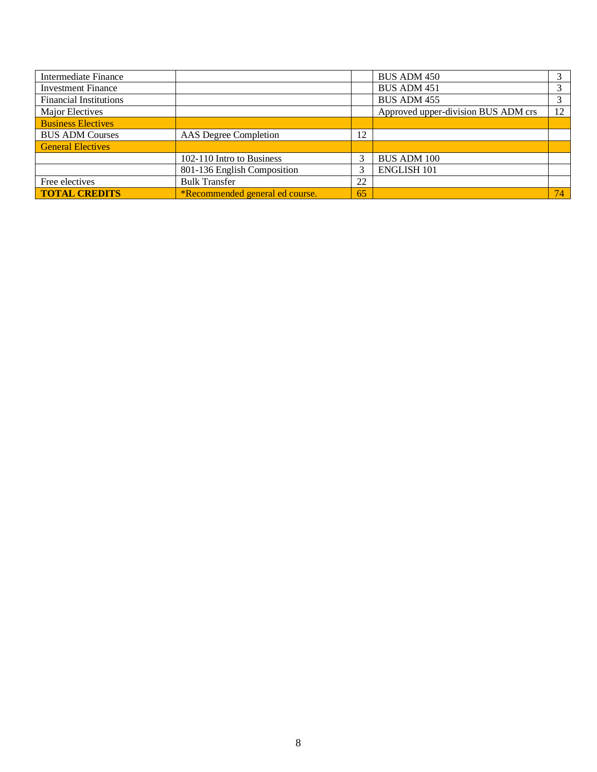| Intermediate Finance          |                                 |    | BUS ADM 450                         |    |
|-------------------------------|---------------------------------|----|-------------------------------------|----|
| <b>Investment Finance</b>     |                                 |    | <b>BUS ADM 451</b>                  |    |
| <b>Financial Institutions</b> |                                 |    | BUS ADM 455                         |    |
| Major Electives               |                                 |    | Approved upper-division BUS ADM crs | 12 |
| <b>Business Electives</b>     |                                 |    |                                     |    |
| <b>BUS ADM Courses</b>        | AAS Degree Completion           | 12 |                                     |    |
| <b>General Electives</b>      |                                 |    |                                     |    |
|                               | 102-110 Intro to Business       |    | <b>BUS ADM 100</b>                  |    |
|                               | 801-136 English Composition     |    | <b>ENGLISH 101</b>                  |    |
| Free electives                | <b>Bulk Transfer</b>            | 22 |                                     |    |
| <b>TOTAL CREDITS</b>          | *Recommended general ed course. | 65 |                                     | 74 |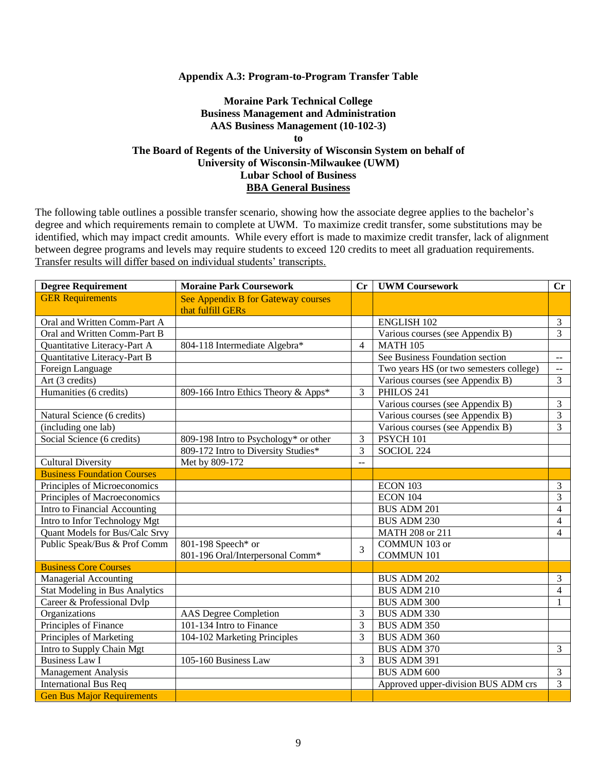#### **Appendix A.3: Program-to-Program Transfer Table**

### **Moraine Park Technical College Business Management and Administration AAS Business Management (10-102-3) to The Board of Regents of the University of Wisconsin System on behalf of University of Wisconsin-Milwaukee (UWM) Lubar School of Business BBA General Business**

| <b>Degree Requirement</b>             | <b>Moraine Park Coursework</b>                          | Cr     | <b>UWM Coursework</b>                   | $\mathbf{C}\mathbf{r}$      |
|---------------------------------------|---------------------------------------------------------|--------|-----------------------------------------|-----------------------------|
| <b>GER Requirements</b>               | See Appendix B for Gateway courses<br>that fulfill GERs |        |                                         |                             |
| Oral and Written Comm-Part A          |                                                         |        | <b>ENGLISH 102</b>                      | $\overline{3}$              |
| Oral and Written Comm-Part B          |                                                         |        | Various courses (see Appendix B)        | $\overline{3}$              |
| Quantitative Literacy-Part A          | 804-118 Intermediate Algebra*                           | 4      | <b>MATH 105</b>                         |                             |
| Quantitative Literacy-Part B          |                                                         |        | See Business Foundation section         | $\mathcal{L} = \mathcal{L}$ |
| Foreign Language                      |                                                         |        | Two years HS (or two semesters college) | $\sim$ $\sim$               |
| Art (3 credits)                       |                                                         |        | Various courses (see Appendix B)        | $\overline{3}$              |
| Humanities (6 credits)                | 809-166 Intro Ethics Theory & Apps*                     | 3      | PHILOS 241                              |                             |
|                                       |                                                         |        | Various courses (see Appendix B)        | $\mathfrak{Z}$              |
| Natural Science (6 credits)           |                                                         |        | Various courses (see Appendix B)        | $\overline{3}$              |
| (including one lab)                   |                                                         |        | Various courses (see Appendix B)        | 3                           |
| Social Science (6 credits)            | 809-198 Intro to Psychology* or other                   | 3      | PSYCH 101                               |                             |
|                                       | 809-172 Intro to Diversity Studies*                     | 3      | SOCIOL 224                              |                             |
| <b>Cultural Diversity</b>             | Met by 809-172                                          | $\sim$ |                                         |                             |
| <b>Business Foundation Courses</b>    |                                                         |        |                                         |                             |
| Principles of Microeconomics          |                                                         |        | ECON 103                                | $\mathfrak{Z}$              |
| Principles of Macroeconomics          |                                                         |        | <b>ECON 104</b>                         | 3                           |
| Intro to Financial Accounting         |                                                         |        | <b>BUS ADM 201</b>                      | $\overline{4}$              |
| Intro to Infor Technology Mgt         |                                                         |        | <b>BUS ADM 230</b>                      | $\overline{4}$              |
| Quant Models for Bus/Calc Srvy        |                                                         |        | MATH 208 or 211                         | $\overline{4}$              |
| Public Speak/Bus & Prof Comm          | 801-198 Speech* or                                      | 3      | COMMUN 103 or                           |                             |
|                                       | 801-196 Oral/Interpersonal Comm*                        |        | <b>COMMUN 101</b>                       |                             |
| <b>Business Core Courses</b>          |                                                         |        |                                         |                             |
| <b>Managerial Accounting</b>          |                                                         |        | <b>BUS ADM 202</b>                      | $\mathfrak{Z}$              |
| <b>Stat Modeling in Bus Analytics</b> |                                                         |        | <b>BUS ADM 210</b>                      | $\overline{4}$              |
| Career & Professional Dvlp            |                                                         |        | <b>BUS ADM 300</b>                      | 1                           |
| Organizations                         | <b>AAS</b> Degree Completion                            | 3      | <b>BUS ADM 330</b>                      |                             |
| Principles of Finance                 | 101-134 Intro to Finance                                | 3      | <b>BUS ADM 350</b>                      |                             |
| Principles of Marketing               | 104-102 Marketing Principles                            | 3      | BUS ADM 360                             |                             |
| Intro to Supply Chain Mgt             |                                                         |        | <b>BUS ADM 370</b>                      | $\overline{3}$              |
| <b>Business Law I</b>                 | 105-160 Business Law                                    | 3      | BUS ADM 391                             |                             |
| Management Analysis                   |                                                         |        | <b>BUS ADM 600</b>                      | $\mathfrak{Z}$              |
| <b>International Bus Req</b>          |                                                         |        | Approved upper-division BUS ADM crs     | 3                           |
| <b>Gen Bus Major Requirements</b>     |                                                         |        |                                         |                             |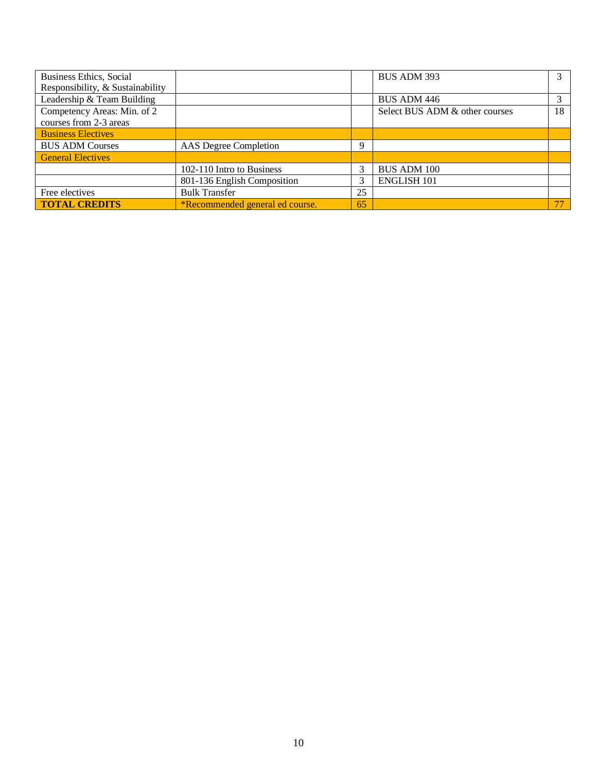| <b>Business Ethics, Social</b>   |                                        |    | BUS ADM 393                    |    |
|----------------------------------|----------------------------------------|----|--------------------------------|----|
| Responsibility, & Sustainability |                                        |    |                                |    |
| Leadership & Team Building       |                                        |    | BUS ADM 446                    |    |
| Competency Areas: Min. of 2      |                                        |    | Select BUS ADM & other courses | 18 |
| courses from 2-3 areas           |                                        |    |                                |    |
| <b>Business Electives</b>        |                                        |    |                                |    |
| <b>BUS ADM Courses</b>           | AAS Degree Completion                  | 9  |                                |    |
| <b>General Electives</b>         |                                        |    |                                |    |
|                                  | 102-110 Intro to Business              |    | <b>BUS ADM 100</b>             |    |
|                                  | 801-136 English Composition            |    | <b>ENGLISH 101</b>             |    |
| Free electives                   | <b>Bulk Transfer</b>                   | 25 |                                |    |
| <b>TOTAL CREDITS</b>             | <i>*Recommended general ed course.</i> | 65 |                                |    |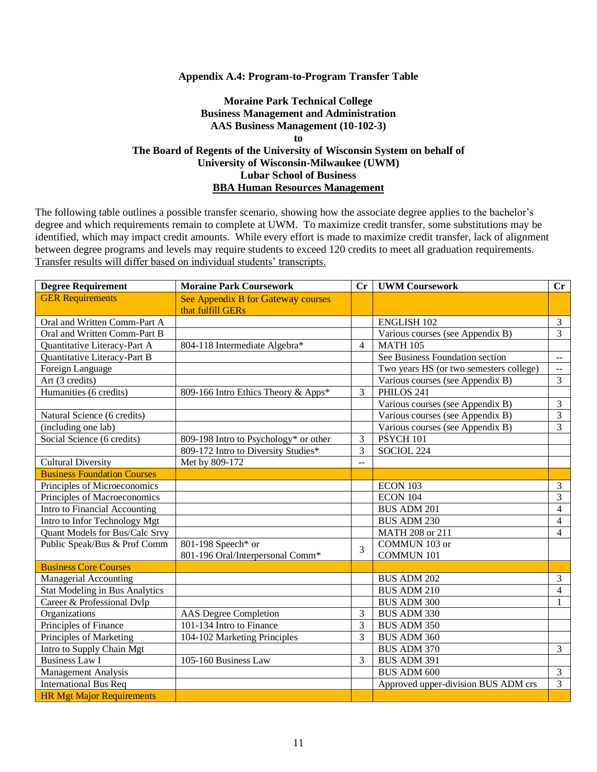#### **Appendix A.4: Program-to-Program Transfer Table**

### **Moraine Park Technical College Business Management and Administration AAS Business Management (10-102-3) to The Board of Regents of the University of Wisconsin System on behalf of University of Wisconsin-Milwaukee (UWM) Lubar School of Business BBA Human Resources Management**

| <b>Degree Requirement</b>             | <b>Moraine Park Coursework</b>                          | Cr           | <b>UWM Coursework</b>                   | $\mathbf{C}\mathbf{r}$   |
|---------------------------------------|---------------------------------------------------------|--------------|-----------------------------------------|--------------------------|
| <b>GER Requirements</b>               | See Appendix B for Gateway courses<br>that fulfill GERs |              |                                         |                          |
| Oral and Written Comm-Part A          |                                                         |              | <b>ENGLISH 102</b>                      | $\overline{3}$           |
| Oral and Written Comm-Part B          |                                                         |              | Various courses (see Appendix B)        | $\overline{3}$           |
| Quantitative Literacy-Part A          | 804-118 Intermediate Algebra*                           | 4            | <b>MATH 105</b>                         |                          |
| Quantitative Literacy-Part B          |                                                         |              | See Business Foundation section         | $\mathbf{m}$             |
| Foreign Language                      |                                                         |              | Two years HS (or two semesters college) | $\overline{\phantom{a}}$ |
| Art (3 credits)                       |                                                         |              | Various courses (see Appendix B)        | 3                        |
| Humanities (6 credits)                | 809-166 Intro Ethics Theory & Apps*                     | 3            | PHILOS 241                              |                          |
|                                       |                                                         |              | Various courses (see Appendix B)        | 3                        |
| Natural Science (6 credits)           |                                                         |              | Various courses (see Appendix B)        | $\overline{3}$           |
| (including one lab)                   |                                                         |              | Various courses (see Appendix B)        | $\overline{3}$           |
| Social Science (6 credits)            | 809-198 Intro to Psychology* or other                   | 3            | PSYCH 101                               |                          |
|                                       | 809-172 Intro to Diversity Studies*                     | 3            | SOCIOL 224                              |                          |
| <b>Cultural Diversity</b>             | Met by 809-172                                          | $\mathbf{u}$ |                                         |                          |
| <b>Business Foundation Courses</b>    |                                                         |              |                                         |                          |
| Principles of Microeconomics          |                                                         |              | ECON 103                                | $\mathfrak{Z}$           |
| Principles of Macroeconomics          |                                                         |              | <b>ECON 104</b>                         | 3                        |
| Intro to Financial Accounting         |                                                         |              | <b>BUS ADM 201</b>                      | $\overline{4}$           |
| Intro to Infor Technology Mgt         |                                                         |              | <b>BUS ADM 230</b>                      | $\overline{4}$           |
| Quant Models for Bus/Calc Srvy        |                                                         |              | MATH 208 or 211                         | $\overline{4}$           |
| Public Speak/Bus & Prof Comm          | 801-198 Speech* or                                      | 3            | COMMUN 103 or                           |                          |
|                                       | 801-196 Oral/Interpersonal Comm*                        |              | <b>COMMUN 101</b>                       |                          |
| <b>Business Core Courses</b>          |                                                         |              |                                         |                          |
| Managerial Accounting                 |                                                         |              | <b>BUS ADM 202</b>                      | $\mathfrak{Z}$           |
| <b>Stat Modeling in Bus Analytics</b> |                                                         |              | <b>BUS ADM 210</b>                      | $\overline{4}$           |
| Career & Professional Dvlp            |                                                         |              | <b>BUS ADM 300</b>                      | 1                        |
| Organizations                         | <b>AAS</b> Degree Completion                            | 3            | BUS ADM 330                             |                          |
| Principles of Finance                 | 101-134 Intro to Finance                                | 3            | <b>BUS ADM 350</b>                      |                          |
| Principles of Marketing               | 104-102 Marketing Principles                            | 3            | <b>BUS ADM 360</b>                      |                          |
| Intro to Supply Chain Mgt             |                                                         |              | <b>BUS ADM 370</b>                      | $\overline{3}$           |
| <b>Business Law I</b>                 | 105-160 Business Law                                    | 3            | BUS ADM 391                             |                          |
| <b>Management Analysis</b>            |                                                         |              | <b>BUS ADM 600</b>                      | $\mathfrak{Z}$           |
| <b>International Bus Req</b>          |                                                         |              | Approved upper-division BUS ADM crs     | 3                        |
| <b>HR Mgt Major Requirements</b>      |                                                         |              |                                         |                          |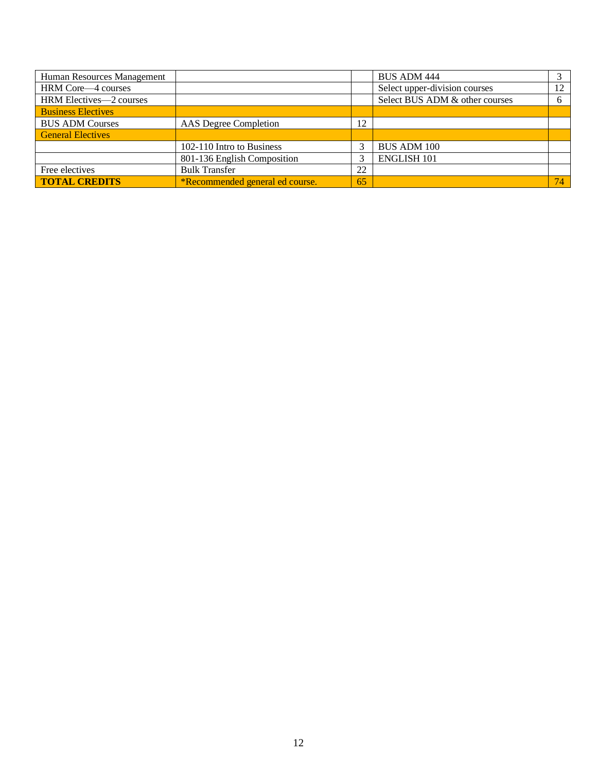| Human Resources Management |                                 |    | <b>BUS ADM 444</b>             |    |
|----------------------------|---------------------------------|----|--------------------------------|----|
| HRM Core—4 courses         |                                 |    | Select upper-division courses  | 12 |
| HRM Electives-2 courses    |                                 |    | Select BUS ADM & other courses | 6  |
| <b>Business Electives</b>  |                                 |    |                                |    |
| <b>BUS ADM Courses</b>     | AAS Degree Completion           | 12 |                                |    |
| <b>General Electives</b>   |                                 |    |                                |    |
|                            | 102-110 Intro to Business       |    | <b>BUS ADM 100</b>             |    |
|                            | 801-136 English Composition     |    | <b>ENGLISH 101</b>             |    |
| Free electives             | <b>Bulk Transfer</b>            | 22 |                                |    |
| <b>TOTAL CREDITS</b>       | *Recommended general ed course. | 65 |                                | 74 |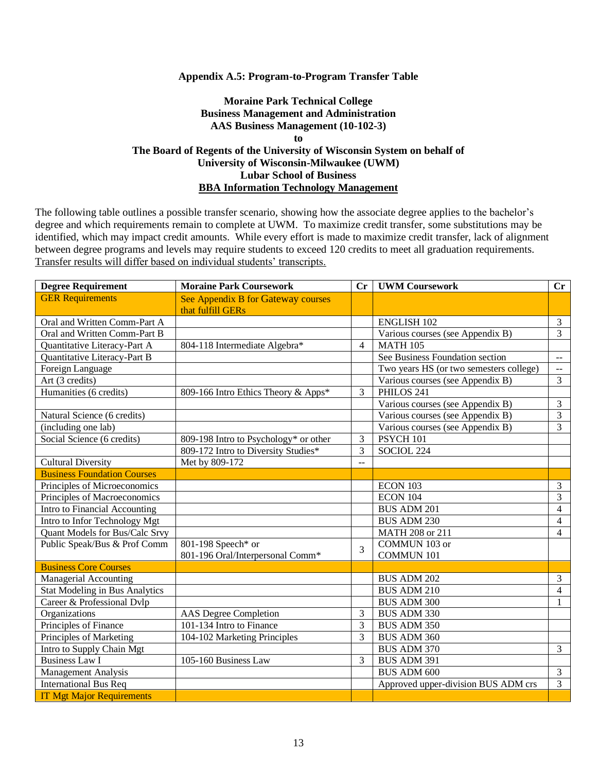#### **Appendix A.5: Program-to-Program Transfer Table**

### **Moraine Park Technical College Business Management and Administration AAS Business Management (10-102-3) to The Board of Regents of the University of Wisconsin System on behalf of University of Wisconsin-Milwaukee (UWM) Lubar School of Business BBA Information Technology Management**

| <b>Degree Requirement</b>             | <b>Moraine Park Coursework</b>        |                | Cr   UWM Coursework                     | $\mathbf{C}\mathbf{r}$                        |
|---------------------------------------|---------------------------------------|----------------|-----------------------------------------|-----------------------------------------------|
| <b>GER Requirements</b>               | See Appendix B for Gateway courses    |                |                                         |                                               |
|                                       | that fulfill GERs                     |                |                                         |                                               |
| Oral and Written Comm-Part A          |                                       |                | <b>ENGLISH 102</b>                      | $\mathfrak{Z}$                                |
| Oral and Written Comm-Part B          |                                       |                | Various courses (see Appendix B)        | $\overline{3}$                                |
| Quantitative Literacy-Part A          | 804-118 Intermediate Algebra*         | 4              | <b>MATH 105</b>                         |                                               |
| Quantitative Literacy-Part B          |                                       |                | See Business Foundation section         | $\overline{\phantom{a}}$                      |
| Foreign Language                      |                                       |                | Two years HS (or two semesters college) | $\mathord{\hspace{1pt}\text{--}\hspace{1pt}}$ |
| Art (3 credits)                       |                                       |                | Various courses (see Appendix B)        | $\overline{3}$                                |
| Humanities (6 credits)                | 809-166 Intro Ethics Theory & Apps*   | 3              | PHILOS 241                              |                                               |
|                                       |                                       |                | Various courses (see Appendix B)        | $\mathfrak{Z}$                                |
| Natural Science (6 credits)           |                                       |                | Various courses (see Appendix B)        | $\overline{3}$                                |
| (including one lab)                   |                                       |                | Various courses (see Appendix B)        | $\overline{3}$                                |
| Social Science (6 credits)            | 809-198 Intro to Psychology* or other | 3              | PSYCH 101                               |                                               |
|                                       | 809-172 Intro to Diversity Studies*   | 3              | SOCIOL 224                              |                                               |
| <b>Cultural Diversity</b>             | Met by 809-172                        | $\overline{a}$ |                                         |                                               |
| <b>Business Foundation Courses</b>    |                                       |                |                                         |                                               |
| Principles of Microeconomics          |                                       |                | ECON 103                                | $\mathfrak{Z}$                                |
| Principles of Macroeconomics          |                                       |                | <b>ECON 104</b>                         | 3                                             |
| Intro to Financial Accounting         |                                       |                | <b>BUS ADM 201</b>                      | 4                                             |
| Intro to Infor Technology Mgt         |                                       |                | <b>BUS ADM 230</b>                      | $\overline{4}$                                |
| Quant Models for Bus/Calc Srvy        |                                       |                | MATH 208 or 211                         | $\overline{4}$                                |
| Public Speak/Bus & Prof Comm          | 801-198 Speech* or                    | 3              | COMMUN 103 or                           |                                               |
|                                       | 801-196 Oral/Interpersonal Comm*      |                | <b>COMMUN 101</b>                       |                                               |
| <b>Business Core Courses</b>          |                                       |                |                                         |                                               |
| <b>Managerial Accounting</b>          |                                       |                | <b>BUS ADM 202</b>                      | $\mathfrak{Z}$                                |
| <b>Stat Modeling in Bus Analytics</b> |                                       |                | <b>BUS ADM 210</b>                      | $\overline{4}$                                |
| Career & Professional Dvlp            |                                       |                | <b>BUS ADM 300</b>                      | 1                                             |
| Organizations                         | <b>AAS</b> Degree Completion          | 3              | <b>BUS ADM 330</b>                      |                                               |
| Principles of Finance                 | 101-134 Intro to Finance              | 3              | <b>BUS ADM 350</b>                      |                                               |
| Principles of Marketing               | 104-102 Marketing Principles          | 3              | BUS ADM 360                             |                                               |
| Intro to Supply Chain Mgt             |                                       |                | <b>BUS ADM 370</b>                      | $\mathfrak{Z}$                                |
| <b>Business Law I</b>                 | 105-160 Business Law                  | 3              | BUS ADM 391                             |                                               |
| <b>Management Analysis</b>            |                                       |                | <b>BUS ADM 600</b>                      | $\mathfrak{Z}$                                |
| <b>International Bus Req</b>          |                                       |                | Approved upper-division BUS ADM crs     | 3                                             |
| <b>IT Mgt Major Requirements</b>      |                                       |                |                                         |                                               |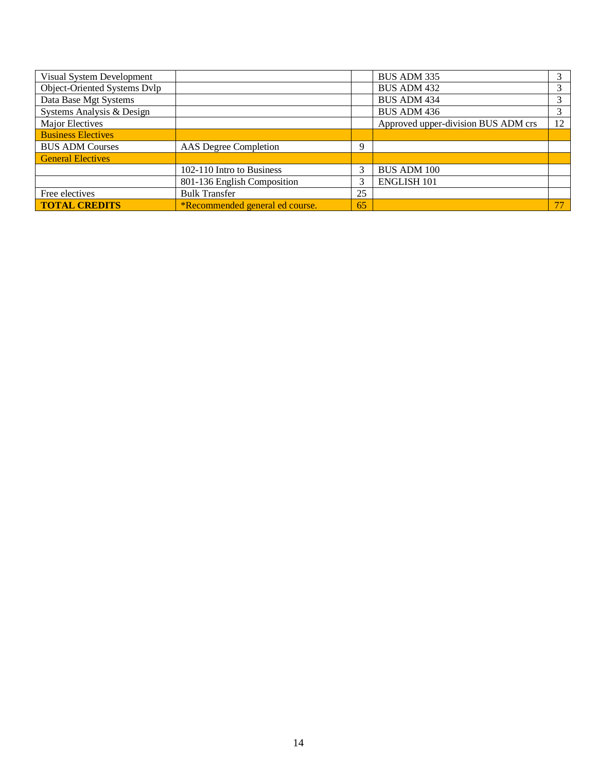| Visual System Development    |                                 |    | BUS ADM 335                         |    |
|------------------------------|---------------------------------|----|-------------------------------------|----|
| Object-Oriented Systems Dvlp |                                 |    | <b>BUS ADM 432</b>                  |    |
| Data Base Mgt Systems        |                                 |    | <b>BUS ADM 434</b>                  |    |
| Systems Analysis & Design    |                                 |    | BUS ADM 436                         | 3  |
| Major Electives              |                                 |    | Approved upper-division BUS ADM crs | 12 |
| <b>Business Electives</b>    |                                 |    |                                     |    |
| <b>BUS ADM Courses</b>       | AAS Degree Completion           | 9  |                                     |    |
| <b>General Electives</b>     |                                 |    |                                     |    |
|                              | 102-110 Intro to Business       | 3  | <b>BUS ADM 100</b>                  |    |
|                              | 801-136 English Composition     |    | <b>ENGLISH 101</b>                  |    |
| Free electives               | <b>Bulk Transfer</b>            | 25 |                                     |    |
| <b>TOTAL CREDITS</b>         | *Recommended general ed course. | 65 |                                     | 77 |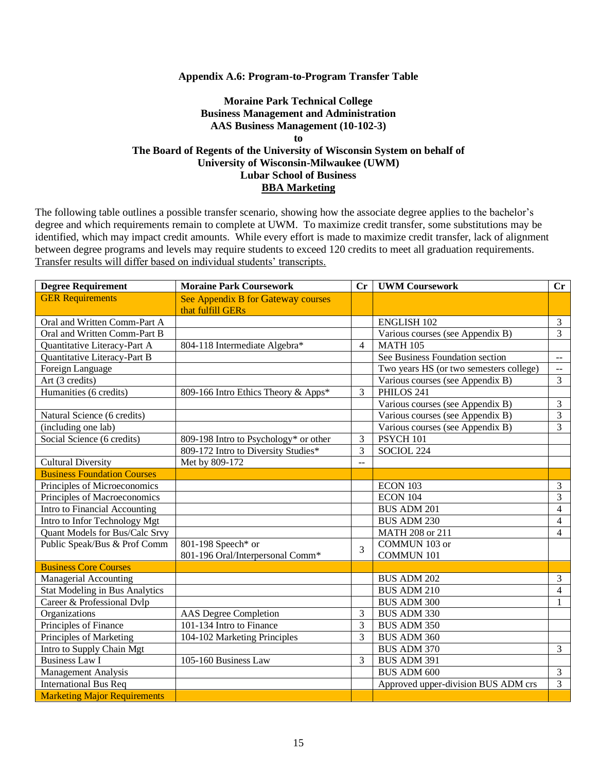#### **Appendix A.6: Program-to-Program Transfer Table**

### **Moraine Park Technical College Business Management and Administration AAS Business Management (10-102-3) to The Board of Regents of the University of Wisconsin System on behalf of University of Wisconsin-Milwaukee (UWM) Lubar School of Business BBA Marketing**

| <b>Degree Requirement</b>             | <b>Moraine Park Coursework</b>        |                | Cr   UWM Coursework                     | $\mathbf{C}\mathbf{r}$                        |
|---------------------------------------|---------------------------------------|----------------|-----------------------------------------|-----------------------------------------------|
| <b>GER Requirements</b>               | See Appendix B for Gateway courses    |                |                                         |                                               |
|                                       | that fulfill GERs                     |                |                                         |                                               |
| Oral and Written Comm-Part A          |                                       |                | <b>ENGLISH 102</b>                      | $\mathfrak{Z}$                                |
| Oral and Written Comm-Part B          |                                       |                | Various courses (see Appendix B)        | $\overline{3}$                                |
| Quantitative Literacy-Part A          | 804-118 Intermediate Algebra*         | 4              | <b>MATH 105</b>                         |                                               |
| Quantitative Literacy-Part B          |                                       |                | See Business Foundation section         | $\overline{\phantom{a}}$                      |
| Foreign Language                      |                                       |                | Two years HS (or two semesters college) | $\mathord{\hspace{1pt}\text{--}\hspace{1pt}}$ |
| Art (3 credits)                       |                                       |                | Various courses (see Appendix B)        | $\overline{3}$                                |
| Humanities (6 credits)                | 809-166 Intro Ethics Theory & Apps*   | 3              | PHILOS 241                              |                                               |
|                                       |                                       |                | Various courses (see Appendix B)        | $\mathfrak{Z}$                                |
| Natural Science (6 credits)           |                                       |                | Various courses (see Appendix B)        | $\overline{3}$                                |
| (including one lab)                   |                                       |                | Various courses (see Appendix B)        | $\overline{3}$                                |
| Social Science (6 credits)            | 809-198 Intro to Psychology* or other | 3              | PSYCH 101                               |                                               |
|                                       | 809-172 Intro to Diversity Studies*   | 3              | SOCIOL 224                              |                                               |
| <b>Cultural Diversity</b>             | Met by 809-172                        | $\overline{a}$ |                                         |                                               |
| <b>Business Foundation Courses</b>    |                                       |                |                                         |                                               |
| Principles of Microeconomics          |                                       |                | ECON 103                                | $\mathfrak{Z}$                                |
| Principles of Macroeconomics          |                                       |                | <b>ECON 104</b>                         | 3                                             |
| Intro to Financial Accounting         |                                       |                | <b>BUS ADM 201</b>                      | 4                                             |
| Intro to Infor Technology Mgt         |                                       |                | <b>BUS ADM 230</b>                      | $\overline{4}$                                |
| Quant Models for Bus/Calc Srvy        |                                       |                | MATH 208 or 211                         | $\overline{4}$                                |
| Public Speak/Bus & Prof Comm          | 801-198 Speech* or                    | 3              | COMMUN 103 or                           |                                               |
|                                       | 801-196 Oral/Interpersonal Comm*      |                | <b>COMMUN 101</b>                       |                                               |
| <b>Business Core Courses</b>          |                                       |                |                                         |                                               |
| <b>Managerial Accounting</b>          |                                       |                | <b>BUS ADM 202</b>                      | $\mathfrak{Z}$                                |
| <b>Stat Modeling in Bus Analytics</b> |                                       |                | <b>BUS ADM 210</b>                      | $\overline{4}$                                |
| Career & Professional Dvlp            |                                       |                | <b>BUS ADM 300</b>                      | 1                                             |
| Organizations                         | <b>AAS</b> Degree Completion          | 3              | <b>BUS ADM 330</b>                      |                                               |
| Principles of Finance                 | 101-134 Intro to Finance              | 3              | <b>BUS ADM 350</b>                      |                                               |
| Principles of Marketing               | 104-102 Marketing Principles          | 3              | BUS ADM 360                             |                                               |
| Intro to Supply Chain Mgt             |                                       |                | <b>BUS ADM 370</b>                      | $\mathfrak{Z}$                                |
| <b>Business Law I</b>                 | 105-160 Business Law                  | 3              | BUS ADM 391                             |                                               |
| <b>Management Analysis</b>            |                                       |                | <b>BUS ADM 600</b>                      | $\mathfrak{Z}$                                |
| <b>International Bus Req</b>          |                                       |                | Approved upper-division BUS ADM crs     | 3                                             |
| <b>Marketing Major Requirements</b>   |                                       |                |                                         |                                               |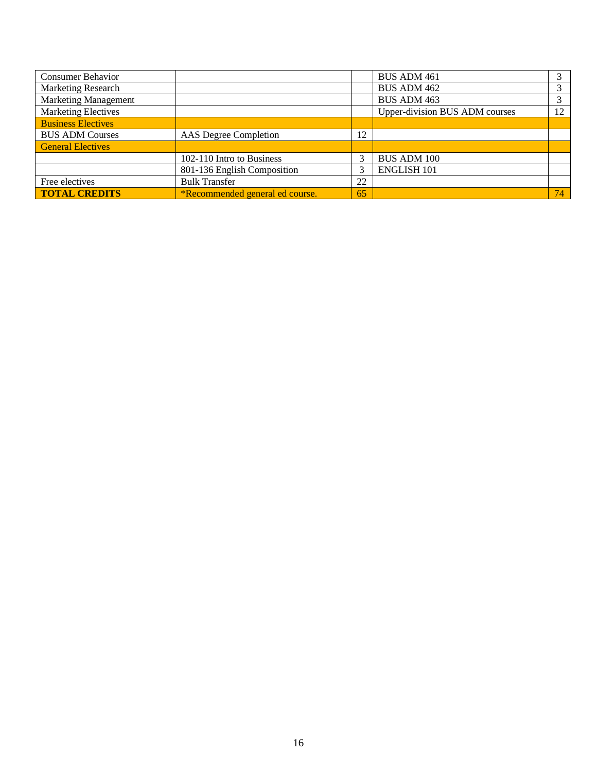| <b>Consumer Behavior</b>    |                                 |    | <b>BUS ADM 461</b>             |    |
|-----------------------------|---------------------------------|----|--------------------------------|----|
| <b>Marketing Research</b>   |                                 |    | <b>BUS ADM 462</b>             |    |
| <b>Marketing Management</b> |                                 |    | <b>BUS ADM 463</b>             |    |
| <b>Marketing Electives</b>  |                                 |    | Upper-division BUS ADM courses | 12 |
| <b>Business Electives</b>   |                                 |    |                                |    |
| <b>BUS ADM Courses</b>      | AAS Degree Completion           |    |                                |    |
| <b>General Electives</b>    |                                 |    |                                |    |
|                             | 102-110 Intro to Business       |    | <b>BUS ADM 100</b>             |    |
|                             | 801-136 English Composition     |    | <b>ENGLISH 101</b>             |    |
| Free electives              | <b>Bulk Transfer</b>            |    |                                |    |
| <b>TOTAL CREDITS</b>        | *Recommended general ed course. | 65 |                                | 74 |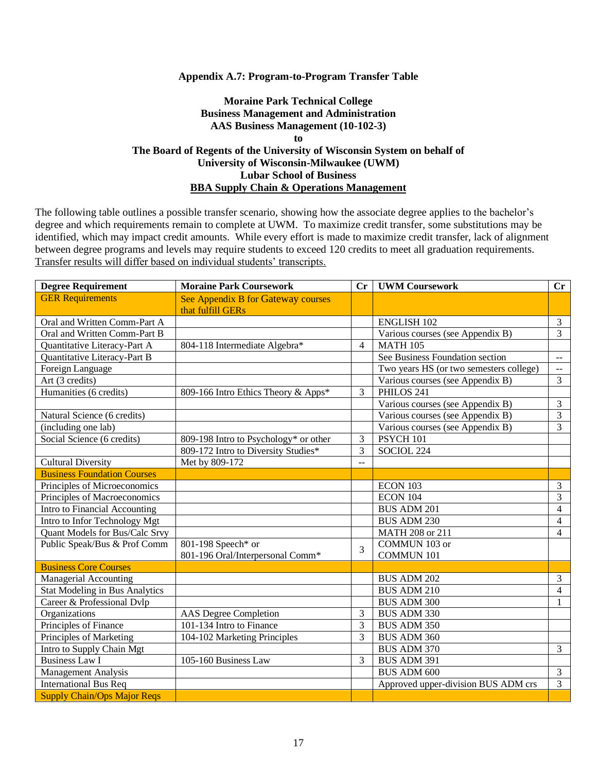#### **Appendix A.7: Program-to-Program Transfer Table**

### **Moraine Park Technical College Business Management and Administration AAS Business Management (10-102-3) to The Board of Regents of the University of Wisconsin System on behalf of University of Wisconsin-Milwaukee (UWM) Lubar School of Business BBA Supply Chain & Operations Management**

| <b>Degree Requirement</b>             | <b>Moraine Park Coursework</b>                          |                          | <b>UWM Coursework</b>                   | $\mathbf{C}\mathbf{r}$   |
|---------------------------------------|---------------------------------------------------------|--------------------------|-----------------------------------------|--------------------------|
| <b>GER Requirements</b>               | See Appendix B for Gateway courses<br>that fulfill GERs |                          |                                         |                          |
| Oral and Written Comm-Part A          |                                                         |                          | <b>ENGLISH 102</b>                      | $\mathfrak{Z}$           |
| Oral and Written Comm-Part B          |                                                         |                          | Various courses (see Appendix B)        | $\overline{3}$           |
| Quantitative Literacy-Part A          | 804-118 Intermediate Algebra*                           | $\overline{\mathcal{L}}$ | <b>MATH 105</b>                         |                          |
| Quantitative Literacy-Part B          |                                                         |                          | See Business Foundation section         | $\overline{\phantom{a}}$ |
| Foreign Language                      |                                                         |                          | Two years HS (or two semesters college) | $\sim$                   |
| Art (3 credits)                       |                                                         |                          | Various courses (see Appendix B)        | 3                        |
| Humanities (6 credits)                | 809-166 Intro Ethics Theory & Apps*                     | 3                        | PHILOS 241                              |                          |
|                                       |                                                         |                          | Various courses (see Appendix B)        | 3                        |
| Natural Science (6 credits)           |                                                         |                          | Various courses (see Appendix B)        | 3                        |
| (including one lab)                   |                                                         |                          | Various courses (see Appendix B)        | $\overline{3}$           |
| Social Science (6 credits)            | 809-198 Intro to Psychology* or other                   | 3                        | PSYCH 101                               |                          |
|                                       | 809-172 Intro to Diversity Studies*                     | 3                        | SOCIOL 224                              |                          |
| <b>Cultural Diversity</b>             | Met by 809-172                                          | $\overline{a}$           |                                         |                          |
| <b>Business Foundation Courses</b>    |                                                         |                          |                                         |                          |
| Principles of Microeconomics          |                                                         |                          | ECON 103                                | $\mathfrak{Z}$           |
| Principles of Macroeconomics          |                                                         |                          | <b>ECON 104</b>                         | 3                        |
| Intro to Financial Accounting         |                                                         |                          | <b>BUS ADM 201</b>                      | $\overline{4}$           |
| Intro to Infor Technology Mgt         |                                                         |                          | <b>BUS ADM 230</b>                      | $\overline{4}$           |
| Quant Models for Bus/Calc Srvy        |                                                         |                          | MATH 208 or 211                         | $\overline{4}$           |
| Public Speak/Bus & Prof Comm          | 801-198 Speech* or                                      | 3                        | COMMUN 103 or                           |                          |
|                                       | 801-196 Oral/Interpersonal Comm*                        |                          | <b>COMMUN 101</b>                       |                          |
| <b>Business Core Courses</b>          |                                                         |                          |                                         |                          |
| Managerial Accounting                 |                                                         |                          | <b>BUS ADM 202</b>                      | 3                        |
| <b>Stat Modeling in Bus Analytics</b> |                                                         |                          | <b>BUS ADM 210</b>                      | $\overline{4}$           |
| Career & Professional Dvlp            |                                                         |                          | BUS ADM 300                             | 1                        |
| Organizations                         | <b>AAS</b> Degree Completion                            | 3                        | BUS ADM 330                             |                          |
| Principles of Finance                 | 101-134 Intro to Finance                                | 3                        | <b>BUS ADM 350</b>                      |                          |
| Principles of Marketing               | 104-102 Marketing Principles                            | 3                        | BUS ADM 360                             |                          |
| Intro to Supply Chain Mgt             |                                                         |                          | <b>BUS ADM 370</b>                      | $\overline{3}$           |
| <b>Business Law I</b>                 | 105-160 Business Law                                    | 3                        | <b>BUS ADM 391</b>                      |                          |
| <b>Management Analysis</b>            |                                                         |                          | <b>BUS ADM 600</b>                      | $\overline{3}$           |
| <b>International Bus Req</b>          |                                                         |                          | Approved upper-division BUS ADM crs     | 3                        |
| <b>Supply Chain/Ops Major Reqs</b>    |                                                         |                          |                                         |                          |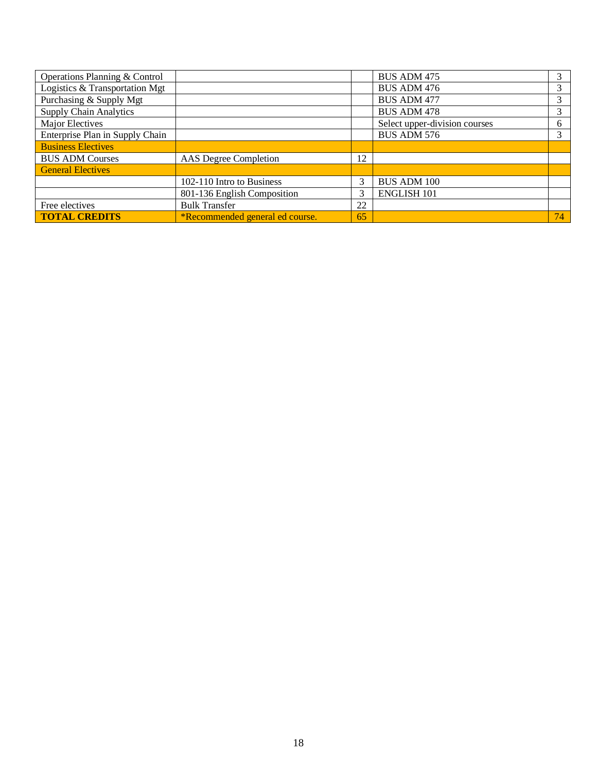| Operations Planning & Control   |                                 |    | <b>BUS ADM 475</b>            |    |
|---------------------------------|---------------------------------|----|-------------------------------|----|
| Logistics & Transportation Mgt  |                                 |    | <b>BUS ADM 476</b>            |    |
| Purchasing & Supply Mgt         |                                 |    | <b>BUS ADM 477</b>            | 3  |
| <b>Supply Chain Analytics</b>   |                                 |    | <b>BUS ADM 478</b>            | 3  |
| Major Electives                 |                                 |    | Select upper-division courses | 6  |
| Enterprise Plan in Supply Chain |                                 |    | <b>BUS ADM 576</b>            |    |
| <b>Business Electives</b>       |                                 |    |                               |    |
| <b>BUS ADM Courses</b>          | AAS Degree Completion           |    |                               |    |
| <b>General Electives</b>        |                                 |    |                               |    |
|                                 | 102-110 Intro to Business       |    | <b>BUS ADM 100</b>            |    |
|                                 | 801-136 English Composition     | 3  | <b>ENGLISH 101</b>            |    |
| Free electives                  | <b>Bulk Transfer</b>            | 22 |                               |    |
| <b>TOTAL CREDITS</b>            | *Recommended general ed course. | 65 |                               | 74 |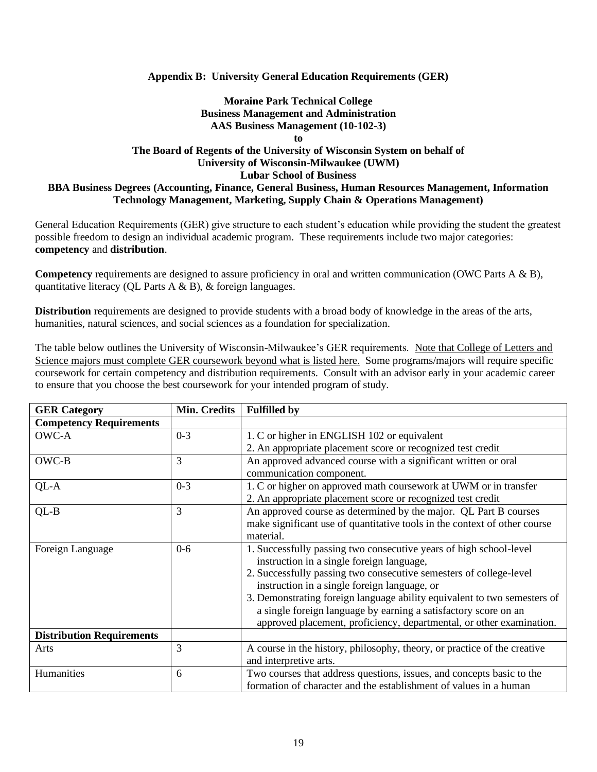### **Appendix B: University General Education Requirements (GER)**

## **Moraine Park Technical College Business Management and Administration AAS Business Management (10-102-3)**

**to**

### **The Board of Regents of the University of Wisconsin System on behalf of University of Wisconsin-Milwaukee (UWM) Lubar School of Business BBA Business Degrees (Accounting, Finance, General Business, Human Resources Management, Information Technology Management, Marketing, Supply Chain & Operations Management)**

General Education Requirements (GER) give structure to each student's education while providing the student the greatest possible freedom to design an individual academic program. These requirements include two major categories: **competency** and **distribution**.

**Competency** requirements are designed to assure proficiency in oral and written communication (OWC Parts A & B), quantitative literacy (QL Parts A & B), & foreign languages.

**Distribution** requirements are designed to provide students with a broad body of knowledge in the areas of the arts, humanities, natural sciences, and social sciences as a foundation for specialization.

The table below outlines the University of Wisconsin-Milwaukee's GER requirements. Note that College of Letters and Science majors must complete GER coursework beyond what is listed here. Some programs/majors will require specific coursework for certain competency and distribution requirements. Consult with an advisor early in your academic career to ensure that you choose the best coursework for your intended program of study.

| <b>GER Category</b>              | Min. Credits | <b>Fulfilled by</b>                                                       |  |
|----------------------------------|--------------|---------------------------------------------------------------------------|--|
| <b>Competency Requirements</b>   |              |                                                                           |  |
| OWC-A                            | $0 - 3$      | 1. C or higher in ENGLISH 102 or equivalent                               |  |
|                                  |              | 2. An appropriate placement score or recognized test credit               |  |
| OWC-B                            | 3            | An approved advanced course with a significant written or oral            |  |
|                                  |              | communication component.                                                  |  |
| QL-A                             | $0 - 3$      | 1. C or higher on approved math coursework at UWM or in transfer          |  |
|                                  |              | 2. An appropriate placement score or recognized test credit               |  |
| $QL-B$                           | 3            | An approved course as determined by the major. QL Part B courses          |  |
|                                  |              | make significant use of quantitative tools in the context of other course |  |
|                                  |              | material.                                                                 |  |
| Foreign Language                 | $0 - 6$      | 1. Successfully passing two consecutive years of high school-level        |  |
|                                  |              | instruction in a single foreign language,                                 |  |
|                                  |              | 2. Successfully passing two consecutive semesters of college-level        |  |
|                                  |              | instruction in a single foreign language, or                              |  |
|                                  |              | 3. Demonstrating foreign language ability equivalent to two semesters of  |  |
|                                  |              | a single foreign language by earning a satisfactory score on an           |  |
|                                  |              | approved placement, proficiency, departmental, or other examination.      |  |
| <b>Distribution Requirements</b> |              |                                                                           |  |
| Arts                             | 3            | A course in the history, philosophy, theory, or practice of the creative  |  |
|                                  |              | and interpretive arts.                                                    |  |
| Humanities                       | 6            | Two courses that address questions, issues, and concepts basic to the     |  |
|                                  |              | formation of character and the establishment of values in a human         |  |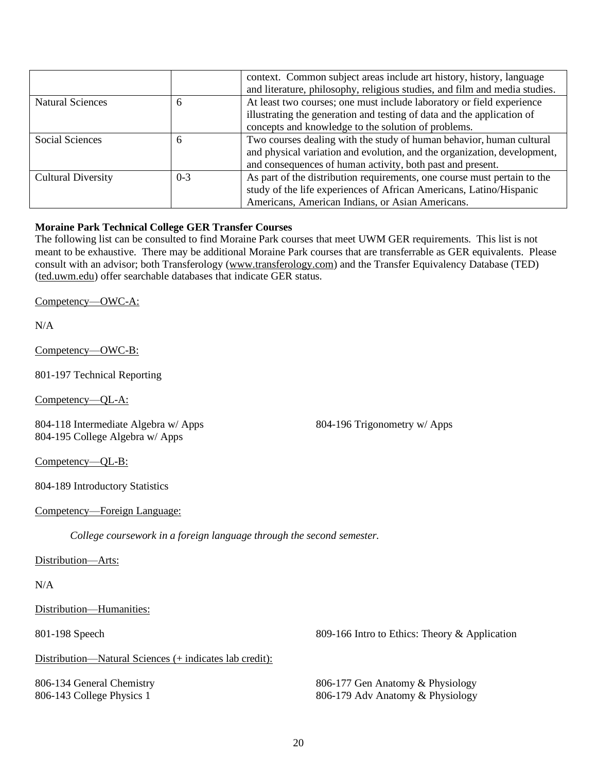|                           |         | context. Common subject areas include art history, history, language<br>and literature, philosophy, religious studies, and film and media studies. |
|---------------------------|---------|----------------------------------------------------------------------------------------------------------------------------------------------------|
| <b>Natural Sciences</b>   | 6       | At least two courses; one must include laboratory or field experience                                                                              |
|                           |         | illustrating the generation and testing of data and the application of                                                                             |
|                           |         | concepts and knowledge to the solution of problems.                                                                                                |
| Social Sciences           | 6       | Two courses dealing with the study of human behavior, human cultural                                                                               |
|                           |         | and physical variation and evolution, and the organization, development,                                                                           |
|                           |         | and consequences of human activity, both past and present.                                                                                         |
| <b>Cultural Diversity</b> | $0 - 3$ | As part of the distribution requirements, one course must pertain to the                                                                           |
|                           |         | study of the life experiences of African Americans, Latino/Hispanic                                                                                |
|                           |         | Americans, American Indians, or Asian Americans.                                                                                                   |

### **Moraine Park Technical College GER Transfer Courses**

The following list can be consulted to find Moraine Park courses that meet UWM GER requirements. This list is not meant to be exhaustive. There may be additional Moraine Park courses that are transferrable as GER equivalents. Please consult with an advisor; both Transferology (www.transferology.com) and the Transfer Equivalency Database (TED) (ted.uwm.edu) offer searchable databases that indicate GER status.

Competency—OWC-A:

N/A

Competency—OWC-B:

801-197 Technical Reporting

Competency—QL-A:

804-118 Intermediate Algebra w/ Apps 804-195 College Algebra w/ Apps

804-196 Trigonometry w/ Apps

Competency—QL-B:

804-189 Introductory Statistics

Competency—Foreign Language:

*College coursework in a foreign language through the second semester.*

Distribution-Arts:

### N/A

Distribution—Humanities:

Distribution—Natural Sciences (+ indicates lab credit):

806-134 General Chemistry 806-143 College Physics 1

801-198 Speech 809-166 Intro to Ethics: Theory & Application

806-177 Gen Anatomy & Physiology 806-179 Adv Anatomy & Physiology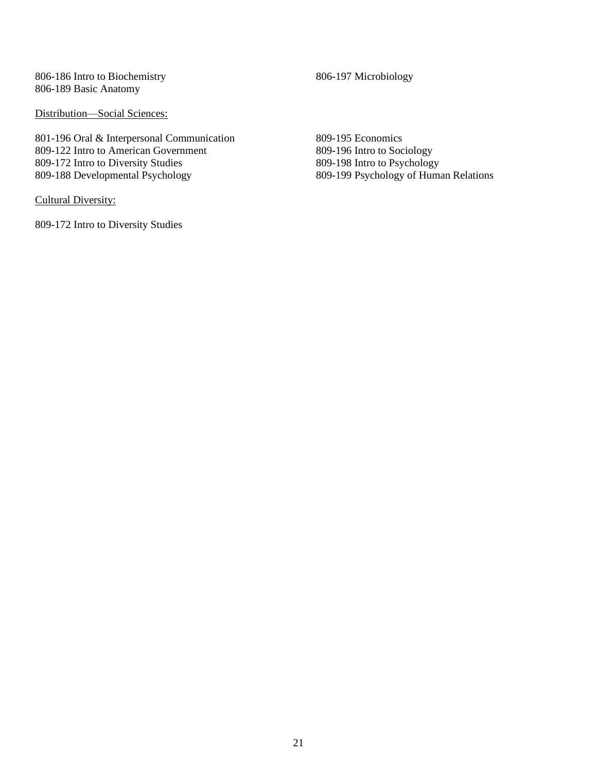806-186 Intro to Biochemistry 806-189 Basic Anatomy

Distribution-Social Sciences:

801-196 Oral & Interpersonal Communication 809-122 Intro to American Government 809-172 Intro to Diversity Studies 809-188 Developmental Psychology

Cultural Diversity:

809-172 Intro to Diversity Studies

806-197 Microbiology

809-195 Economics 809-196 Intro to Sociology 809-198 Intro to Psychology 809-199 Psychology of Human Relations